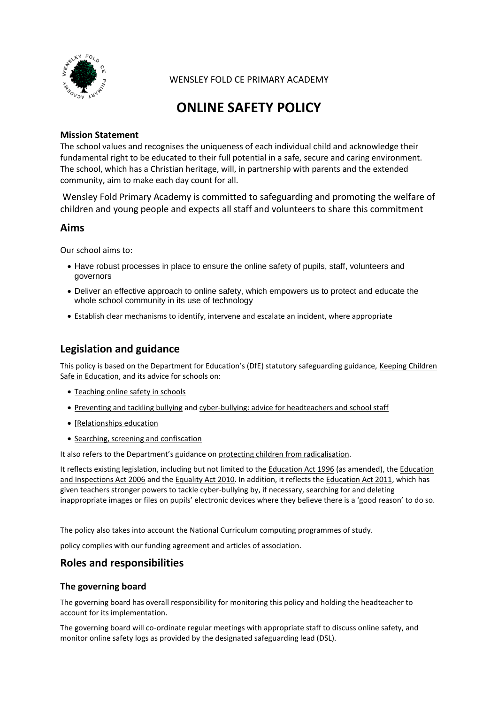

WENSLEY FOLD CE PRIMARY ACADEMY

# **ONLINE SAFETY POLICY**

#### **Mission Statement**

The school values and recognises the uniqueness of each individual child and acknowledge their fundamental right to be educated to their full potential in a safe, secure and caring environment. The school, which has a Christian heritage, will, in partnership with parents and the extended community, aim to make each day count for all.

Wensley Fold Primary Academy is committed to safeguarding and promoting the welfare of children and young people and expects all staff and volunteers to share this commitment

### **Aims**

Our school aims to:

- Have robust processes in place to ensure the online safety of pupils, staff, volunteers and governors
- Deliver an effective approach to online safety, which empowers us to protect and educate the whole school community in its use of technology
- Establish clear mechanisms to identify, intervene and escalate an incident, where appropriate

### **Legislation and guidance**

This policy is based on the Department for Education's (DfE) statutory safeguarding guidance, [Keeping Children](https://www.gov.uk/government/publications/keeping-children-safe-in-education--2)  [Safe in Education,](https://www.gov.uk/government/publications/keeping-children-safe-in-education--2) and its advice for schools on:

- [Teaching online safety in schools](https://www.gov.uk/government/publications/teaching-online-safety-in-schools)
- [Preventing and tackling bullying](https://www.gov.uk/government/publications/preventing-and-tackling-bullying) an[d cyber-bullying: advice for headteachers and school staff](https://www.gov.uk/government/publications/preventing-and-tackling-bullying)
- [\[Relationships education](https://www.gov.uk/government/publications/relationships-education-relationships-and-sex-education-rse-and-health-education)
- [Searching, screening and confiscation](https://www.gov.uk/government/publications/searching-screening-and-confiscation)

It also refers to the Department's guidance on [protecting children from radicalisation.](https://www.gov.uk/government/publications/protecting-children-from-radicalisation-the-prevent-duty)

It reflects existing legislation, including but not limited to the [Education Act 1996](https://www.legislation.gov.uk/ukpga/1996/56/contents) (as amended), the Education [and Inspections Act 2006](https://www.legislation.gov.uk/ukpga/2006/40/contents) and th[e Equality Act 2010.](https://www.legislation.gov.uk/ukpga/2010/15/contents) In addition, it reflects the [Education Act 2011,](http://www.legislation.gov.uk/ukpga/2011/21/contents/enacted) which has given teachers stronger powers to tackle cyber-bullying by, if necessary, searching for and deleting inappropriate images or files on pupils' electronic devices where they believe there is a 'good reason' to do so.

The policy also takes into account the National Curriculum computing programmes of study.

policy complies with our funding agreement and articles of association.

### **Roles and responsibilities**

#### **The governing board**

The governing board has overall responsibility for monitoring this policy and holding the headteacher to account for its implementation.

The governing board will co-ordinate regular meetings with appropriate staff to discuss online safety, and monitor online safety logs as provided by the designated safeguarding lead (DSL).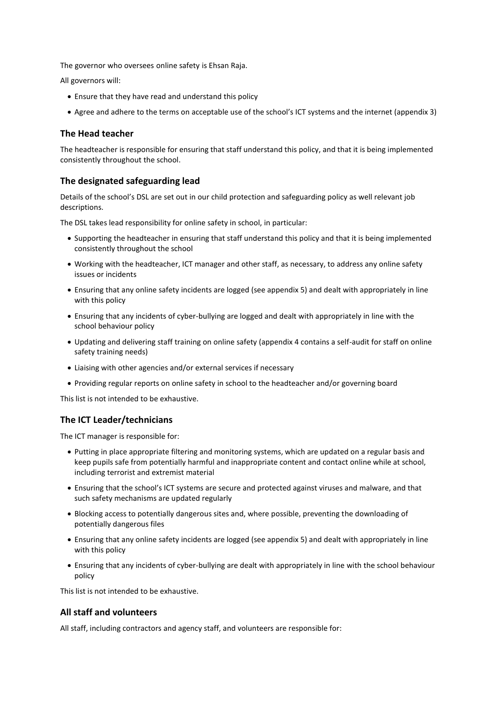The governor who oversees online safety is Ehsan Raja.

All governors will:

- Ensure that they have read and understand this policy
- Agree and adhere to the terms on acceptable use of the school's ICT systems and the internet (appendix 3)

#### **The Head teacher**

The headteacher is responsible for ensuring that staff understand this policy, and that it is being implemented consistently throughout the school.

#### **The designated safeguarding lead**

Details of the school's DSL are set out in our child protection and safeguarding policy as well relevant job descriptions.

The DSL takes lead responsibility for online safety in school, in particular:

- Supporting the headteacher in ensuring that staff understand this policy and that it is being implemented consistently throughout the school
- Working with the headteacher, ICT manager and other staff, as necessary, to address any online safety issues or incidents
- Ensuring that any online safety incidents are logged (see appendix 5) and dealt with appropriately in line with this policy
- Ensuring that any incidents of cyber-bullying are logged and dealt with appropriately in line with the school behaviour policy
- Updating and delivering staff training on online safety (appendix 4 contains a self-audit for staff on online safety training needs)
- Liaising with other agencies and/or external services if necessary
- Providing regular reports on online safety in school to the headteacher and/or governing board

This list is not intended to be exhaustive.

#### **The ICT Leader/technicians**

The ICT manager is responsible for:

- Putting in place appropriate filtering and monitoring systems, which are updated on a regular basis and keep pupils safe from potentially harmful and inappropriate content and contact online while at school, including terrorist and extremist material
- Ensuring that the school's ICT systems are secure and protected against viruses and malware, and that such safety mechanisms are updated regularly
- Blocking access to potentially dangerous sites and, where possible, preventing the downloading of potentially dangerous files
- Ensuring that any online safety incidents are logged (see appendix 5) and dealt with appropriately in line with this policy
- Ensuring that any incidents of cyber-bullying are dealt with appropriately in line with the school behaviour policy

This list is not intended to be exhaustive.

#### **All staff and volunteers**

All staff, including contractors and agency staff, and volunteers are responsible for: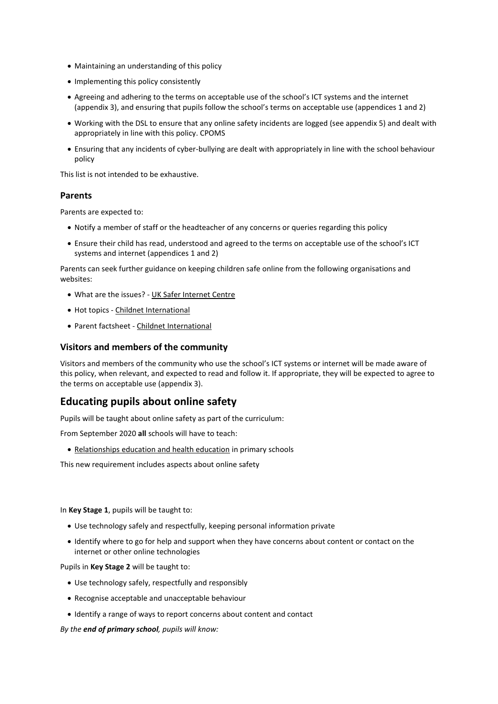- Maintaining an understanding of this policy
- Implementing this policy consistently
- Agreeing and adhering to the terms on acceptable use of the school's ICT systems and the internet (appendix 3), and ensuring that pupils follow the school's terms on acceptable use (appendices 1 and 2)
- Working with the DSL to ensure that any online safety incidents are logged (see appendix 5) and dealt with appropriately in line with this policy. CPOMS
- Ensuring that any incidents of cyber-bullying are dealt with appropriately in line with the school behaviour policy

This list is not intended to be exhaustive.

#### **Parents**

Parents are expected to:

- Notify a member of staff or the headteacher of any concerns or queries regarding this policy
- Ensure their child has read, understood and agreed to the terms on acceptable use of the school's ICT systems and internet (appendices 1 and 2)

Parents can seek further guidance on keeping children safe online from the following organisations and websites:

- What are the issues? [UK Safer Internet Centre](https://www.saferinternet.org.uk/advice-centre/parents-and-carers/what-are-issues)
- Hot topics [Childnet International](http://www.childnet.com/parents-and-carers/hot-topics)
- Parent factsheet [Childnet International](https://www.childnet.com/resources/parents-and-carers-resource-sheet)

#### **Visitors and members of the community**

Visitors and members of the community who use the school's ICT systems or internet will be made aware of this policy, when relevant, and expected to read and follow it. If appropriate, they will be expected to agree to the terms on acceptable use (appendix 3).

### **Educating pupils about online safety**

Pupils will be taught about online safety as part of the curriculum:

From September 2020 **all** schools will have to teach:

[Relationships education and health education](https://schoolleaders.thekeysupport.com/uid/8b76f587-7bf6-4994-abf0-43850c6e8d73/) in primary schools

This new requirement includes aspects about online safety

In **Key Stage 1**, pupils will be taught to:

- Use technology safely and respectfully, keeping personal information private
- Identify where to go for help and support when they have concerns about content or contact on the internet or other online technologies

Pupils in **Key Stage 2** will be taught to:

- Use technology safely, respectfully and responsibly
- Recognise acceptable and unacceptable behaviour
- Identify a range of ways to report concerns about content and contact

*By the end of primary school, pupils will know:*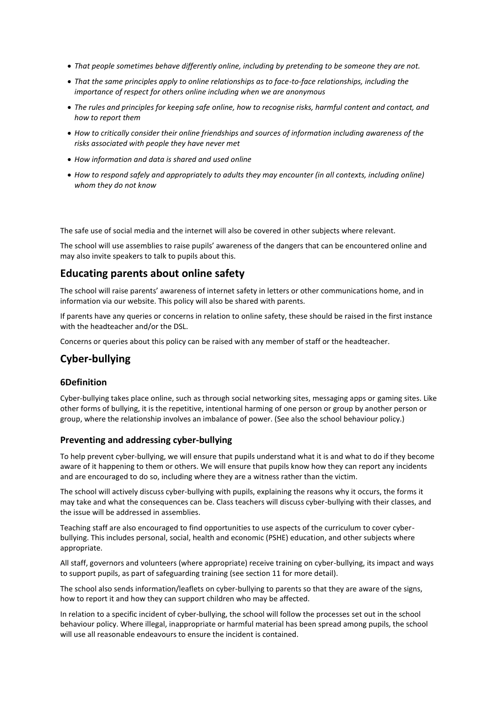- *That people sometimes behave differently online, including by pretending to be someone they are not.*
- *That the same principles apply to online relationships as to face-to-face relationships, including the importance of respect for others online including when we are anonymous*
- *The rules and principles for keeping safe online, how to recognise risks, harmful content and contact, and how to report them*
- *How to critically consider their online friendships and sources of information including awareness of the risks associated with people they have never met*
- *How information and data is shared and used online*
- *How to respond safely and appropriately to adults they may encounter (in all contexts, including online) whom they do not know*

The safe use of social media and the internet will also be covered in other subjects where relevant.

The school will use assemblies to raise pupils' awareness of the dangers that can be encountered online and may also invite speakers to talk to pupils about this.

### **Educating parents about online safety**

The school will raise parents' awareness of internet safety in letters or other communications home, and in information via our website. This policy will also be shared with parents.

If parents have any queries or concerns in relation to online safety, these should be raised in the first instance with the headteacher and/or the DSL.

Concerns or queries about this policy can be raised with any member of staff or the headteacher.

### **Cyber-bullying**

#### **6Definition**

Cyber-bullying takes place online, such as through social networking sites, messaging apps or gaming sites. Like other forms of bullying, it is the repetitive, intentional harming of one person or group by another person or group, where the relationship involves an imbalance of power. (See also the school behaviour policy.)

#### **Preventing and addressing cyber-bullying**

To help prevent cyber-bullying, we will ensure that pupils understand what it is and what to do if they become aware of it happening to them or others. We will ensure that pupils know how they can report any incidents and are encouraged to do so, including where they are a witness rather than the victim.

The school will actively discuss cyber-bullying with pupils, explaining the reasons why it occurs, the forms it may take and what the consequences can be. Class teachers will discuss cyber-bullying with their classes, and the issue will be addressed in assemblies.

Teaching staff are also encouraged to find opportunities to use aspects of the curriculum to cover cyberbullying. This includes personal, social, health and economic (PSHE) education, and other subjects where appropriate.

All staff, governors and volunteers (where appropriate) receive training on cyber-bullying, its impact and ways to support pupils, as part of safeguarding training (see section 11 for more detail).

The school also sends information/leaflets on cyber-bullying to parents so that they are aware of the signs, how to report it and how they can support children who may be affected.

In relation to a specific incident of cyber-bullying, the school will follow the processes set out in the school behaviour policy. Where illegal, inappropriate or harmful material has been spread among pupils, the school will use all reasonable endeavours to ensure the incident is contained.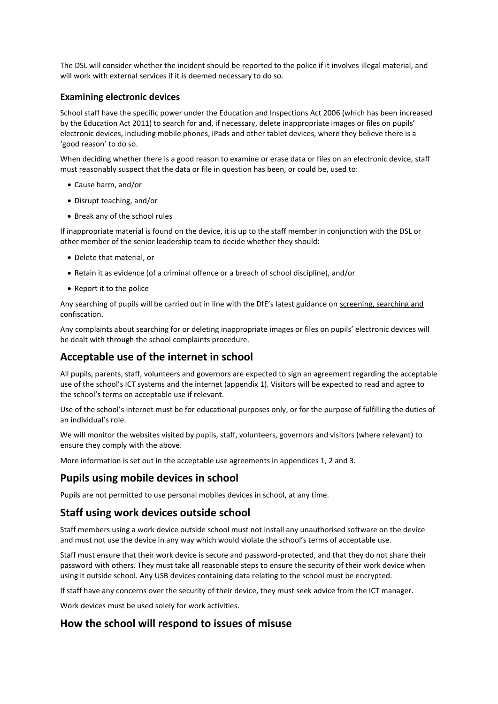The DSL will consider whether the incident should be reported to the police if it involves illegal material, and will work with external services if it is deemed necessary to do so.

#### **Examining electronic devices**

School staff have the specific power under the Education and Inspections Act 2006 (which has been increased by the Education Act 2011) to search for and, if necessary, delete inappropriate images or files on pupils' electronic devices, including mobile phones, iPads and other tablet devices, where they believe there is a 'good reason' to do so.

When deciding whether there is a good reason to examine or erase data or files on an electronic device, staff must reasonably suspect that the data or file in question has been, or could be, used to:

- Cause harm, and/or
- Disrupt teaching, and/or
- Break any of the school rules

If inappropriate material is found on the device, it is up to the staff member in conjunction with the DSL or other member of the senior leadership team to decide whether they should:

- Delete that material, or
- Retain it as evidence (of a criminal offence or a breach of school discipline), and/or
- Report it to the police

Any searching of pupils will be carried out in line with the DfE's latest guidance on [screening, searching and](https://www.gov.uk/government/publications/searching-screening-and-confiscation)  [confiscation.](https://www.gov.uk/government/publications/searching-screening-and-confiscation)

Any complaints about searching for or deleting inappropriate images or files on pupils' electronic devices will be dealt with through the school complaints procedure.

### **Acceptable use of the internet in school**

All pupils, parents, staff, volunteers and governors are expected to sign an agreement regarding the acceptable use of the school's ICT systems and the internet (appendix 1). Visitors will be expected to read and agree to the school's terms on acceptable use if relevant.

Use of the school's internet must be for educational purposes only, or for the purpose of fulfilling the duties of an individual's role.

We will monitor the websites visited by pupils, staff, volunteers, governors and visitors (where relevant) to ensure they comply with the above.

More information is set out in the acceptable use agreements in appendices 1, 2 and 3.

#### **Pupils using mobile devices in school**

Pupils are not permitted to use personal mobiles devices in school, at any time.

#### **Staff using work devices outside school**

Staff members using a work device outside school must not install any unauthorised software on the device and must not use the device in any way which would violate the school's terms of acceptable use.

Staff must ensure that their work device is secure and password-protected, and that they do not share their password with others. They must take all reasonable steps to ensure the security of their work device when using it outside school. Any USB devices containing data relating to the school must be encrypted.

If staff have any concerns over the security of their device, they must seek advice from the ICT manager.

Work devices must be used solely for work activities.

### **How the school will respond to issues of misuse**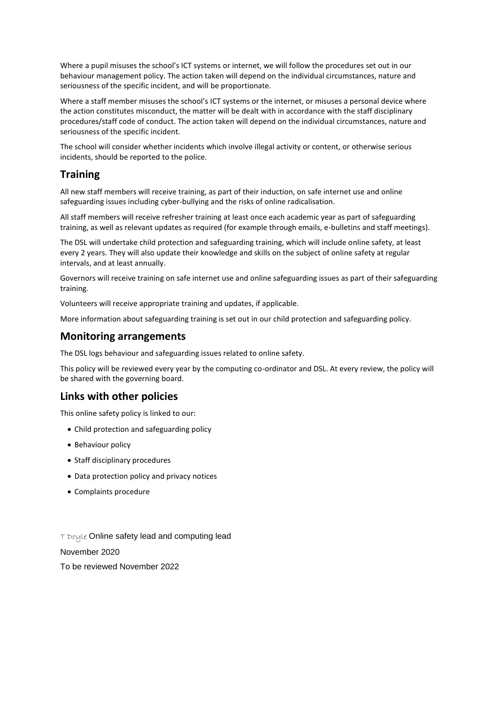Where a pupil misuses the school's ICT systems or internet, we will follow the procedures set out in our behaviour management policy. The action taken will depend on the individual circumstances, nature and seriousness of the specific incident, and will be proportionate.

Where a staff member misuses the school's ICT systems or the internet, or misuses a personal device where the action constitutes misconduct, the matter will be dealt with in accordance with the staff disciplinary procedures/staff code of conduct. The action taken will depend on the individual circumstances, nature and seriousness of the specific incident.

The school will consider whether incidents which involve illegal activity or content, or otherwise serious incidents, should be reported to the police.

### **Training**

All new staff members will receive training, as part of their induction, on safe internet use and online safeguarding issues including cyber-bullying and the risks of online radicalisation.

All staff members will receive refresher training at least once each academic year as part of safeguarding training, as well as relevant updates as required (for example through emails, e-bulletins and staff meetings).

The DSL will undertake child protection and safeguarding training, which will include online safety, at least every 2 years. They will also update their knowledge and skills on the subject of online safety at regular intervals, and at least annually.

Governors will receive training on safe internet use and online safeguarding issues as part of their safeguarding training.

Volunteers will receive appropriate training and updates, if applicable.

More information about safeguarding training is set out in our child protection and safeguarding policy.

### **Monitoring arrangements**

The DSL logs behaviour and safeguarding issues related to online safety.

This policy will be reviewed every year by the computing co-ordinator and DSL. At every review, the policy will be shared with the governing board.

### **Links with other policies**

This online safety policy is linked to our:

- Child protection and safeguarding policy
- Behaviour policy
- Staff disciplinary procedures
- Data protection policy and privacy notices
- Complaints procedure

T Doule Online safety lead and computing lead

November 2020

To be reviewed November 2022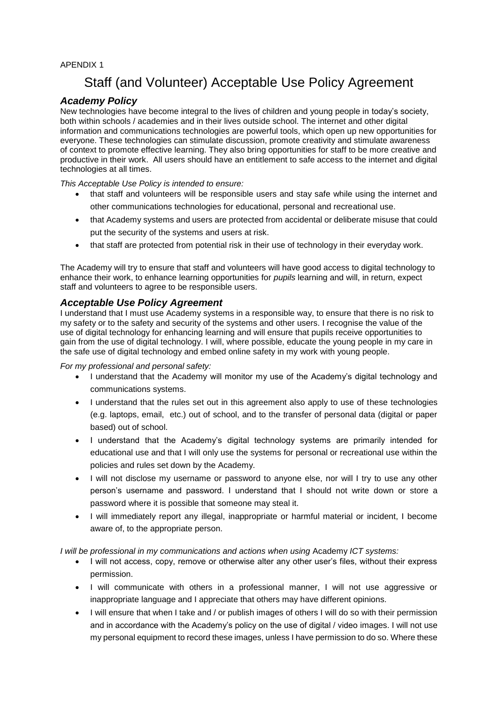#### APENDIX 1

## Staff (and Volunteer) Acceptable Use Policy Agreement

### *Academy Policy*

New technologies have become integral to the lives of children and young people in today's society, both within schools / academies and in their lives outside school. The internet and other digital information and communications technologies are powerful tools, which open up new opportunities for everyone. These technologies can stimulate discussion, promote creativity and stimulate awareness of context to promote effective learning. They also bring opportunities for staff to be more creative and productive in their work. All users should have an entitlement to safe access to the internet and digital technologies at all times.

*This Acceptable Use Policy is intended to ensure:*

- that staff and volunteers will be responsible users and stay safe while using the internet and other communications technologies for educational, personal and recreational use.
- that Academy systems and users are protected from accidental or deliberate misuse that could put the security of the systems and users at risk.
- that staff are protected from potential risk in their use of technology in their everyday work.

The Academy will try to ensure that staff and volunteers will have good access to digital technology to enhance their work, to enhance learning opportunities for *pupils* learning and will, in return, expect staff and volunteers to agree to be responsible users.

### *Acceptable Use Policy Agreement*

I understand that I must use Academy systems in a responsible way, to ensure that there is no risk to my safety or to the safety and security of the systems and other users. I recognise the value of the use of digital technology for enhancing learning and will ensure that pupils receive opportunities to gain from the use of digital technology. I will, where possible, educate the young people in my care in the safe use of digital technology and embed online safety in my work with young people.

*For my professional and personal safety:*

- I understand that the Academy will monitor my use of the Academy's digital technology and communications systems.
- I understand that the rules set out in this agreement also apply to use of these technologies (e.g. laptops, email, etc.) out of school, and to the transfer of personal data (digital or paper based) out of school.
- I understand that the Academy's digital technology systems are primarily intended for educational use and that I will only use the systems for personal or recreational use within the policies and rules set down by the Academy.
- I will not disclose my username or password to anyone else, nor will I try to use any other person's username and password. I understand that I should not write down or store a password where it is possible that someone may steal it.
- I will immediately report any illegal, inappropriate or harmful material or incident, I become aware of, to the appropriate person.

*I* will be professional in my communications and actions when using Academy *ICT* systems:

- I will not access, copy, remove or otherwise alter any other user's files, without their express permission.
- I will communicate with others in a professional manner, I will not use aggressive or inappropriate language and I appreciate that others may have different opinions.
- I will ensure that when I take and / or publish images of others I will do so with their permission and in accordance with the Academy's policy on the use of digital / video images. I will not use my personal equipment to record these images, unless I have permission to do so. Where these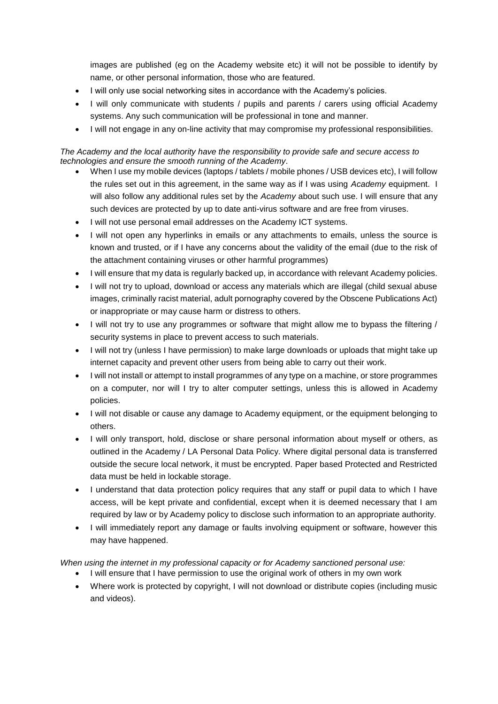images are published (eg on the Academy website etc) it will not be possible to identify by name, or other personal information, those who are featured.

- I will only use social networking sites in accordance with the Academy's policies.
- I will only communicate with students / pupils and parents / carers using official Academy systems. Any such communication will be professional in tone and manner.
- I will not engage in any on-line activity that may compromise my professional responsibilities.

#### *The Academy and the local authority have the responsibility to provide safe and secure access to technologies and ensure the smooth running of the Academy*.

- When I use my mobile devices (laptops / tablets / mobile phones / USB devices etc), I will follow the rules set out in this agreement, in the same way as if I was using *Academy* equipment. I will also follow any additional rules set by the *Academy* about such use. I will ensure that any such devices are protected by up to date anti-virus software and are free from viruses.
- I will not use personal email addresses on the Academy ICT systems.
- I will not open any hyperlinks in emails or any attachments to emails, unless the source is known and trusted, or if I have any concerns about the validity of the email (due to the risk of the attachment containing viruses or other harmful programmes)
- I will ensure that my data is regularly backed up, in accordance with relevant Academy policies.
- I will not try to upload, download or access any materials which are illegal (child sexual abuse images, criminally racist material, adult pornography covered by the Obscene Publications Act) or inappropriate or may cause harm or distress to others.
- I will not try to use any programmes or software that might allow me to bypass the filtering / security systems in place to prevent access to such materials.
- I will not try (unless I have permission) to make large downloads or uploads that might take up internet capacity and prevent other users from being able to carry out their work.
- I will not install or attempt to install programmes of any type on a machine, or store programmes on a computer, nor will I try to alter computer settings, unless this is allowed in Academy policies.
- I will not disable or cause any damage to Academy equipment, or the equipment belonging to others.
- I will only transport, hold, disclose or share personal information about myself or others, as outlined in the Academy / LA Personal Data Policy. Where digital personal data is transferred outside the secure local network, it must be encrypted. Paper based Protected and Restricted data must be held in lockable storage.
- I understand that data protection policy requires that any staff or pupil data to which I have access, will be kept private and confidential, except when it is deemed necessary that I am required by law or by Academy policy to disclose such information to an appropriate authority.
- I will immediately report any damage or faults involving equipment or software, however this may have happened.

#### *When using the internet in my professional capacity or for Academy sanctioned personal use:*

- I will ensure that I have permission to use the original work of others in my own work
- Where work is protected by copyright, I will not download or distribute copies (including music and videos).